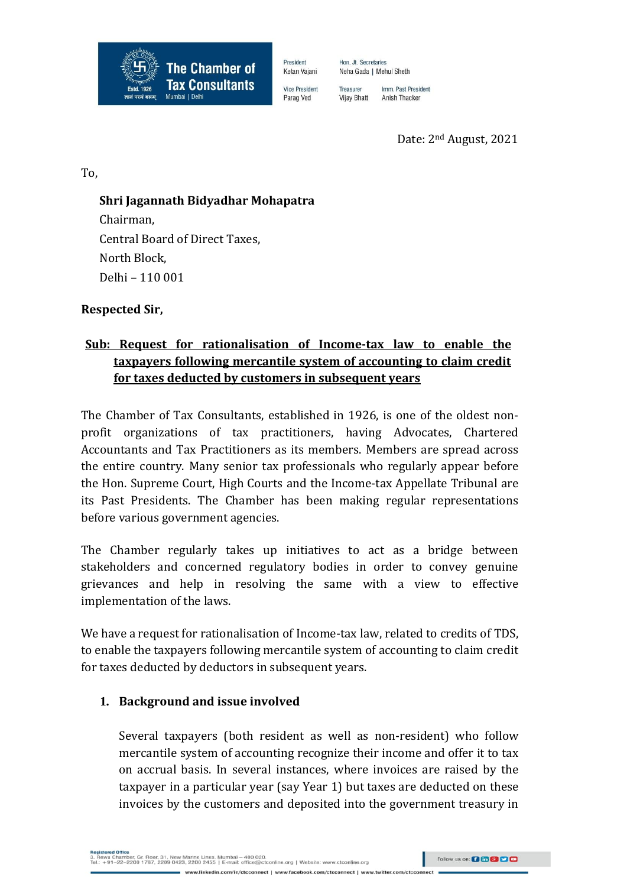

Hon. Jt. Secretaries Neha Gada | Mehul Sheth

> Treasurer Imm. Past President Vijay Bhatt Anish Thacker

> > Date: 2nd August, 2021

To,

### **Shri Jagannath Bidyadhar Mohapatra**

Chairman, Central Board of Direct Taxes, North Block, Delhi – 110 001

### **Respected Sir,**

# **Sub: Request for rationalisation of Income-tax law to enable the taxpayers following mercantile system of accounting to claim credit for taxes deducted by customers in subsequent years**

President

Ketan Vaiani

**Vice President** 

Parag Ved

The Chamber of Tax Consultants, established in 1926, is one of the oldest nonprofit organizations of tax practitioners, having Advocates, Chartered Accountants and Tax Practitioners as its members. Members are spread across the entire country. Many senior tax professionals who regularly appear before the Hon. Supreme Court, High Courts and the Income-tax Appellate Tribunal are its Past Presidents. The Chamber has been making regular representations before various government agencies.

The Chamber regularly takes up initiatives to act as a bridge between stakeholders and concerned regulatory bodies in order to convey genuine grievances and help in resolving the same with a view to effective implementation of the laws.

We have a request for rationalisation of Income-tax law, related to credits of TDS, to enable the taxpayers following mercantile system of accounting to claim credit for taxes deducted by deductors in subsequent years.

#### **1. Background and issue involved**

Several taxpayers (both resident as well as non-resident) who follow mercantile system of accounting recognize their income and offer it to tax on accrual basis. In several instances, where invoices are raised by the taxpayer in a particular year (say Year 1) but taxes are deducted on these invoices by the customers and deposited into the government treasury in

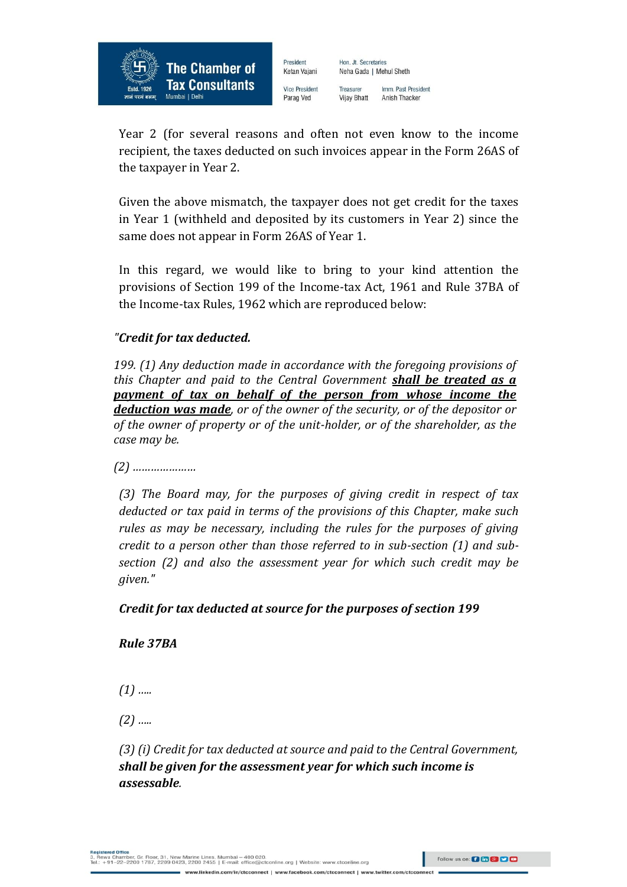

President Hon. Jt. Secretaries Ketan Vajani Neha Gada | Mehul Sheth

**Vice President** Parag Ved

Treasurer Imm. Past President Vijay Bhatt Anish Thacker

Year 2 (for several reasons and often not even know to the income recipient, the taxes deducted on such invoices appear in the Form 26AS of the taxpayer in Year 2.

Given the above mismatch, the taxpayer does not get credit for the taxes in Year 1 (withheld and deposited by its customers in Year 2) since the same does not appear in Form 26AS of Year 1.

In this regard, we would like to bring to your kind attention the provisions of Section 199 of the Income-tax Act, 1961 and Rule 37BA of the Income-tax Rules, 1962 which are reproduced below:

## *"Credit for tax deducted.*

*199. (1) Any deduction made in accordance with the foregoing provisions of this Chapter and paid to the Central Government shall be treated as a payment of tax on behalf of the person from whose income the deduction was made, or of the owner of the security, or of the depositor or of the owner of property or of the unit-holder, or of the shareholder, as the case may be.*

*(2) …………………*

*(3) The Board may, for the purposes of giving credit in respect of tax deducted or tax paid in terms of the provisions of this Chapter, make such rules as may be necessary, including the rules for the purposes of giving credit to a person other than those referred to in sub-section (1) and subsection (2) and also the assessment year for which such credit may be given."*

## *Credit for tax deducted at source for the purposes of section 199*

*Rule 37BA*

*(1) …..*

*(2) …..*

*(3) (i) Credit for tax deducted at source and paid to the Central Government, shall be given for the assessment year for which such income is assessable.*

eres onnee<br>va Chamber, Gr. Floor, 31, New Marine Lines, Mumbai – 400 020.<br>-91–22–2200 1787, 2209 0423, 2200 2455 | E-mail: office@ctconline.org | Website: www.ctconline.org ww.linkedin.com/in/clcconnect | www.facebook.com/clcconnect | www.twitter.co

Follow us on: 0 in 8 9 0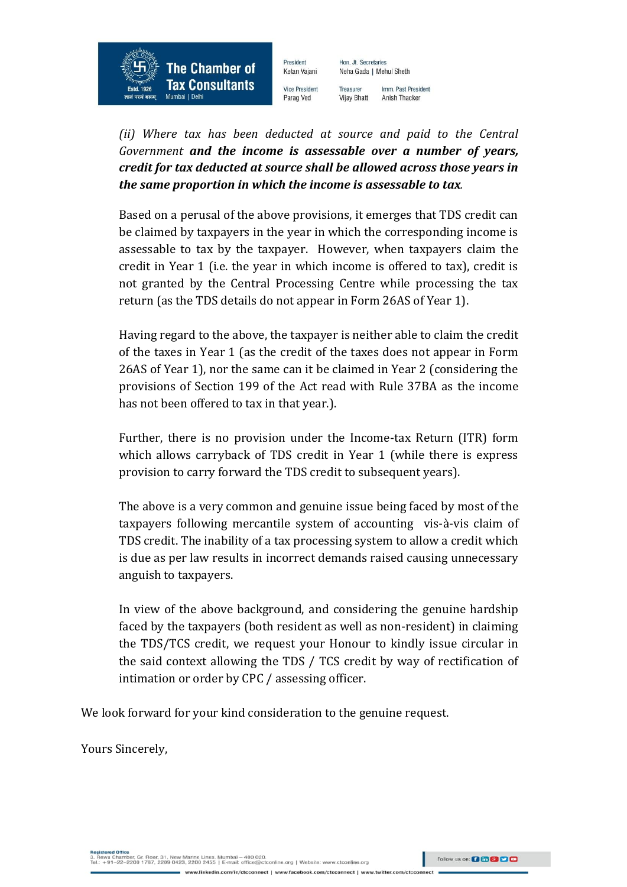President Ketan Vajani

**Vice President** 

Parag Ved

**The Chamber of** 

**Tax Consultants** 

Mumbai | Delh

Hon. Jt. Secretaries Neha Gada | Mehul Sheth

Treasurer Imm. Past President **Vijay Bhatt** Anish Thacker

*(ii) Where tax has been deducted at source and paid to the Central Government and the income is assessable over a number of years, credit for tax deducted at source shall be allowed across those years in the same proportion in which the income is assessable to tax.*

Based on a perusal of the above provisions, it emerges that TDS credit can be claimed by taxpayers in the year in which the corresponding income is assessable to tax by the taxpayer. However, when taxpayers claim the credit in Year 1 (i.e. the year in which income is offered to tax), credit is not granted by the Central Processing Centre while processing the tax return (as the TDS details do not appear in Form 26AS of Year 1).

Having regard to the above, the taxpayer is neither able to claim the credit of the taxes in Year 1 (as the credit of the taxes does not appear in Form 26AS of Year 1), nor the same can it be claimed in Year 2 (considering the provisions of Section 199 of the Act read with Rule 37BA as the income has not been offered to tax in that year.).

Further, there is no provision under the Income-tax Return (ITR) form which allows carryback of TDS credit in Year 1 (while there is express provision to carry forward the TDS credit to subsequent years).

The above is a very common and genuine issue being faced by most of the taxpayers following mercantile system of accounting vis-à-vis claim of TDS credit. The inability of a tax processing system to allow a credit which is due as per law results in incorrect demands raised causing unnecessary anguish to taxpayers.

In view of the above background, and considering the genuine hardship faced by the taxpayers (both resident as well as non-resident) in claiming the TDS/TCS credit, we request your Honour to kindly issue circular in the said context allowing the TDS / TCS credit by way of rectification of intimation or order by CPC / assessing officer.

We look forward for your kind consideration to the genuine request.

Yours Sincerely,

нега Chamber, Gr. Floor, 31, New Marine Lines, Mumbai – 400 020.<br>wa Chamber, Gr. Floor, 31, New Marine Lines, Mumbai – 400 020.<br>+91–22–2200 1787, 2209 0423, 2200 2455 | E-mail: office@ctconline.org | Website: www.ctconlin ww.linkedin.com/in/clcconnect | www.facebook.com/clcconnect | www.twitter.co

Follow us on: **[3 [6] [3] [2]**